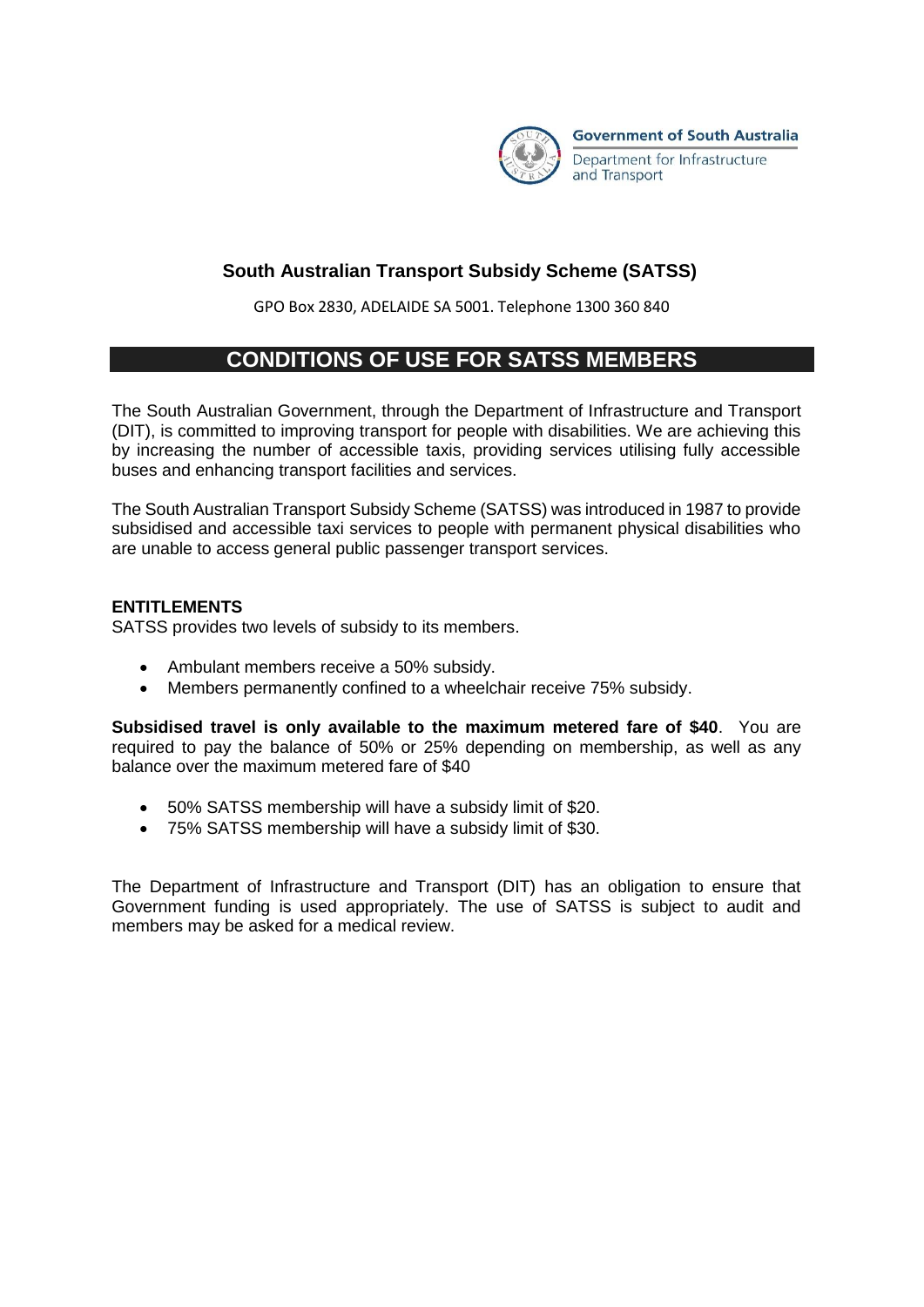

### **South Australian Transport Subsidy Scheme (SATSS)**

GPO Box 2830, ADELAIDE SA 5001. Telephone 1300 360 840

# **CONDITIONS OF USE FOR SATSS MEMBERS**

The South Australian Government, through the Department of Infrastructure and Transport (DIT), is committed to improving transport for people with disabilities. We are achieving this by increasing the number of accessible taxis, providing services utilising fully accessible buses and enhancing transport facilities and services.

The South Australian Transport Subsidy Scheme (SATSS) was introduced in 1987 to provide subsidised and accessible taxi services to people with permanent physical disabilities who are unable to access general public passenger transport services.

### **ENTITLEMENTS**

SATSS provides two levels of subsidy to its members.

- Ambulant members receive a 50% subsidy.
- Members permanently confined to a wheelchair receive 75% subsidy.

**Subsidised travel is only available to the maximum metered fare of \$40**. You are required to pay the balance of 50% or 25% depending on membership, as well as any balance over the maximum metered fare of \$40

- 50% SATSS membership will have a subsidy limit of \$20.
- 75% SATSS membership will have a subsidy limit of \$30.

The Department of Infrastructure and Transport (DIT) has an obligation to ensure that Government funding is used appropriately. The use of SATSS is subject to audit and members may be asked for a medical review.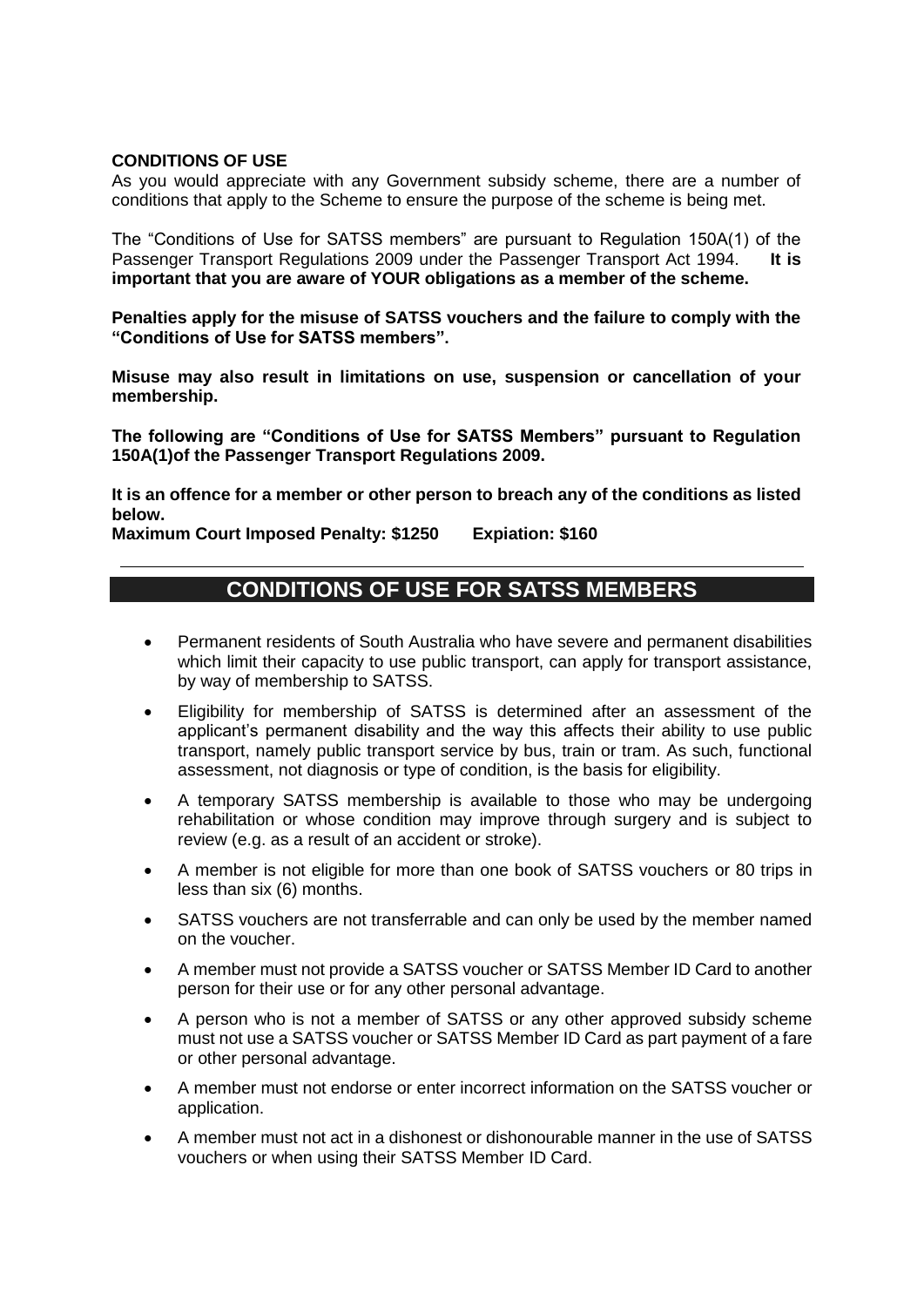#### **CONDITIONS OF USE**

As you would appreciate with any Government subsidy scheme, there are a number of conditions that apply to the Scheme to ensure the purpose of the scheme is being met.

The "Conditions of Use for SATSS members" are pursuant to Regulation 150A(1) of the Passenger Transport Regulations 2009 under the Passenger Transport Act 1994. **It is important that you are aware of YOUR obligations as a member of the scheme.** 

**Penalties apply for the misuse of SATSS vouchers and the failure to comply with the "Conditions of Use for SATSS members".** 

**Misuse may also result in limitations on use, suspension or cancellation of your membership.** 

**The following are "Conditions of Use for SATSS Members" pursuant to Regulation 150A(1)of the Passenger Transport Regulations 2009.** 

**It is an offence for a member or other person to breach any of the conditions as listed below.**

**Maximum Court Imposed Penalty: \$1250 Expiation: \$160**

# **CONDITIONS OF USE FOR SATSS MEMBERS**

- Permanent residents of South Australia who have severe and permanent disabilities which limit their capacity to use public transport, can apply for transport assistance, by way of membership to SATSS.
- Eligibility for membership of SATSS is determined after an assessment of the applicant's permanent disability and the way this affects their ability to use public transport, namely public transport service by bus, train or tram. As such, functional assessment, not diagnosis or type of condition, is the basis for eligibility.
- A temporary SATSS membership is available to those who may be undergoing rehabilitation or whose condition may improve through surgery and is subject to review (e.g. as a result of an accident or stroke).
- A member is not eligible for more than one book of SATSS vouchers or 80 trips in less than six (6) months.
- SATSS vouchers are not transferrable and can only be used by the member named on the voucher.
- A member must not provide a SATSS voucher or SATSS Member ID Card to another person for their use or for any other personal advantage.
- A person who is not a member of SATSS or any other approved subsidy scheme must not use a SATSS voucher or SATSS Member ID Card as part payment of a fare or other personal advantage.
- A member must not endorse or enter incorrect information on the SATSS voucher or application.
- A member must not act in a dishonest or dishonourable manner in the use of SATSS vouchers or when using their SATSS Member ID Card.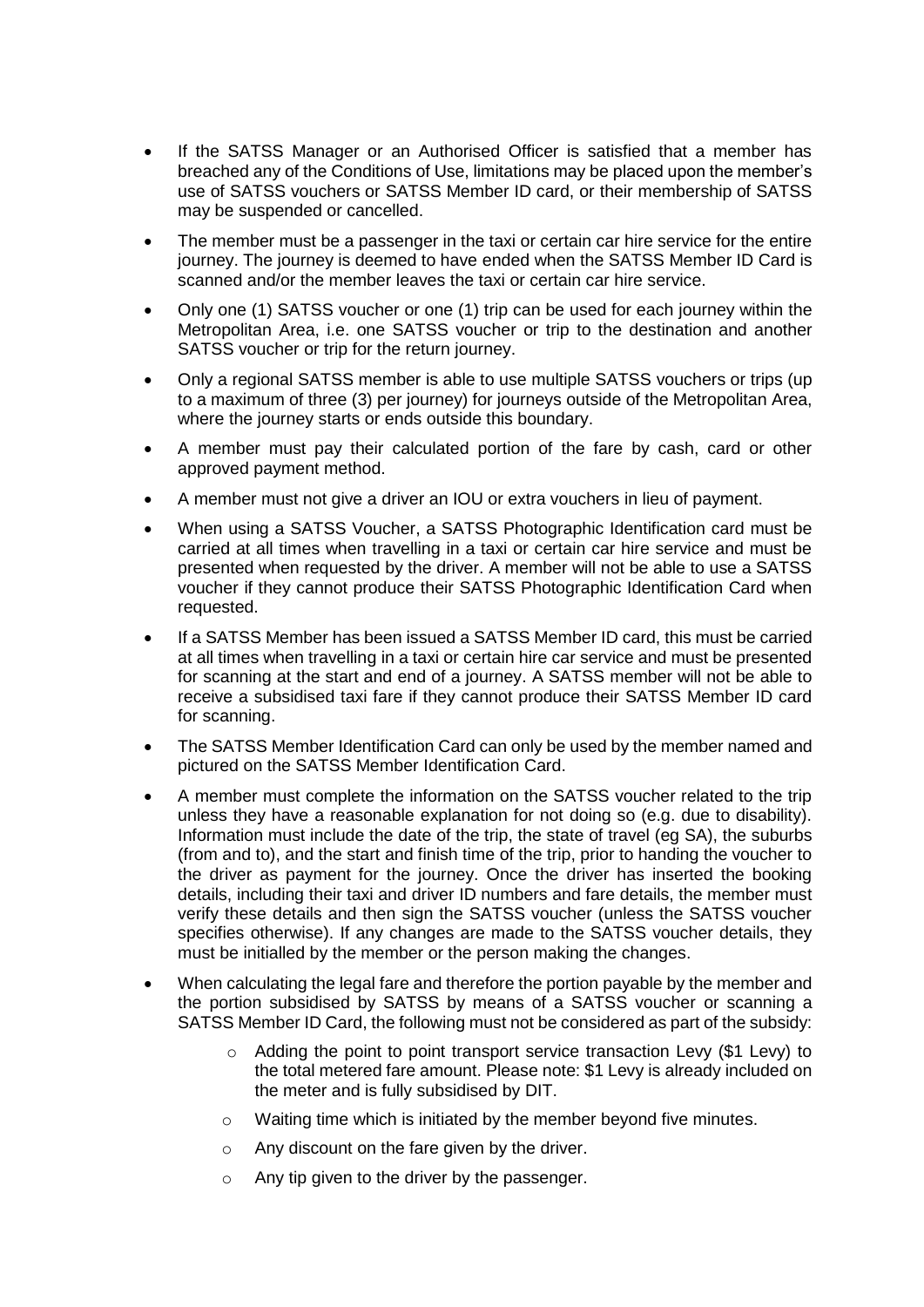- If the SATSS Manager or an Authorised Officer is satisfied that a member has breached any of the Conditions of Use, limitations may be placed upon the member's use of SATSS vouchers or SATSS Member ID card, or their membership of SATSS may be suspended or cancelled.
- The member must be a passenger in the taxi or certain car hire service for the entire journey. The journey is deemed to have ended when the SATSS Member ID Card is scanned and/or the member leaves the taxi or certain car hire service.
- Only one (1) SATSS voucher or one (1) trip can be used for each journey within the Metropolitan Area, i.e. one SATSS voucher or trip to the destination and another SATSS voucher or trip for the return journey.
- Only a regional SATSS member is able to use multiple SATSS vouchers or trips (up to a maximum of three (3) per journey) for journeys outside of the Metropolitan Area, where the journey starts or ends outside this boundary.
- A member must pay their calculated portion of the fare by cash, card or other approved payment method.
- A member must not give a driver an IOU or extra vouchers in lieu of payment.
- When using a SATSS Voucher, a SATSS Photographic Identification card must be carried at all times when travelling in a taxi or certain car hire service and must be presented when requested by the driver. A member will not be able to use a SATSS voucher if they cannot produce their SATSS Photographic Identification Card when requested.
- If a SATSS Member has been issued a SATSS Member ID card, this must be carried at all times when travelling in a taxi or certain hire car service and must be presented for scanning at the start and end of a journey. A SATSS member will not be able to receive a subsidised taxi fare if they cannot produce their SATSS Member ID card for scanning.
- The SATSS Member Identification Card can only be used by the member named and pictured on the SATSS Member Identification Card.
- A member must complete the information on the SATSS voucher related to the trip unless they have a reasonable explanation for not doing so (e.g. due to disability). Information must include the date of the trip, the state of travel (eg SA), the suburbs (from and to), and the start and finish time of the trip, prior to handing the voucher to the driver as payment for the journey. Once the driver has inserted the booking details, including their taxi and driver ID numbers and fare details, the member must verify these details and then sign the SATSS voucher (unless the SATSS voucher specifies otherwise). If any changes are made to the SATSS voucher details, they must be initialled by the member or the person making the changes.
- When calculating the legal fare and therefore the portion payable by the member and the portion subsidised by SATSS by means of a SATSS voucher or scanning a SATSS Member ID Card, the following must not be considered as part of the subsidy:
	- $\circ$  Adding the point to point transport service transaction Levy (\$1 Levy) to the total metered fare amount. Please note: \$1 Levy is already included on the meter and is fully subsidised by DIT.
	- o Waiting time which is initiated by the member beyond five minutes.
	- o Any discount on the fare given by the driver.
	- o Any tip given to the driver by the passenger.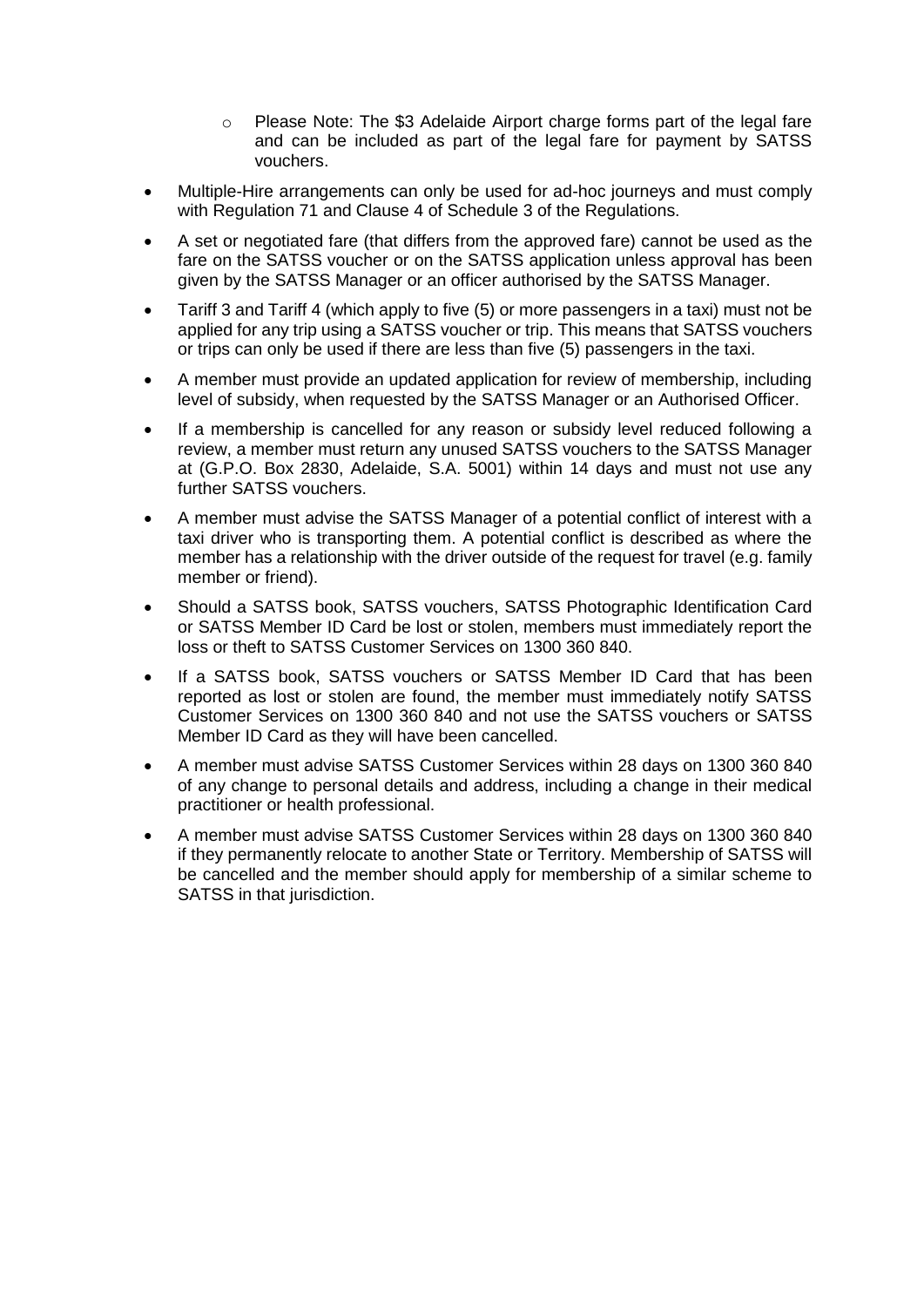- $\circ$  Please Note: The \$3 Adelaide Airport charge forms part of the legal fare and can be included as part of the legal fare for payment by SATSS vouchers.
- Multiple-Hire arrangements can only be used for ad-hoc journeys and must comply with Regulation 71 and Clause 4 of Schedule 3 of the Regulations.
- A set or negotiated fare (that differs from the approved fare) cannot be used as the fare on the SATSS voucher or on the SATSS application unless approval has been given by the SATSS Manager or an officer authorised by the SATSS Manager.
- Tariff 3 and Tariff 4 (which apply to five (5) or more passengers in a taxi) must not be applied for any trip using a SATSS voucher or trip. This means that SATSS vouchers or trips can only be used if there are less than five (5) passengers in the taxi.
- A member must provide an updated application for review of membership, including level of subsidy, when requested by the SATSS Manager or an Authorised Officer.
- If a membership is cancelled for any reason or subsidy level reduced following a review, a member must return any unused SATSS vouchers to the SATSS Manager at (G.P.O. Box 2830, Adelaide, S.A. 5001) within 14 days and must not use any further SATSS vouchers.
- A member must advise the SATSS Manager of a potential conflict of interest with a taxi driver who is transporting them. A potential conflict is described as where the member has a relationship with the driver outside of the request for travel (e.g. family member or friend).
- Should a SATSS book, SATSS vouchers, SATSS Photographic Identification Card or SATSS Member ID Card be lost or stolen, members must immediately report the loss or theft to SATSS Customer Services on 1300 360 840.
- If a SATSS book, SATSS vouchers or SATSS Member ID Card that has been reported as lost or stolen are found, the member must immediately notify SATSS Customer Services on 1300 360 840 and not use the SATSS vouchers or SATSS Member ID Card as they will have been cancelled.
- A member must advise SATSS Customer Services within 28 days on 1300 360 840 of any change to personal details and address, including a change in their medical practitioner or health professional.
- A member must advise SATSS Customer Services within 28 days on 1300 360 840 if they permanently relocate to another State or Territory. Membership of SATSS will be cancelled and the member should apply for membership of a similar scheme to SATSS in that jurisdiction.